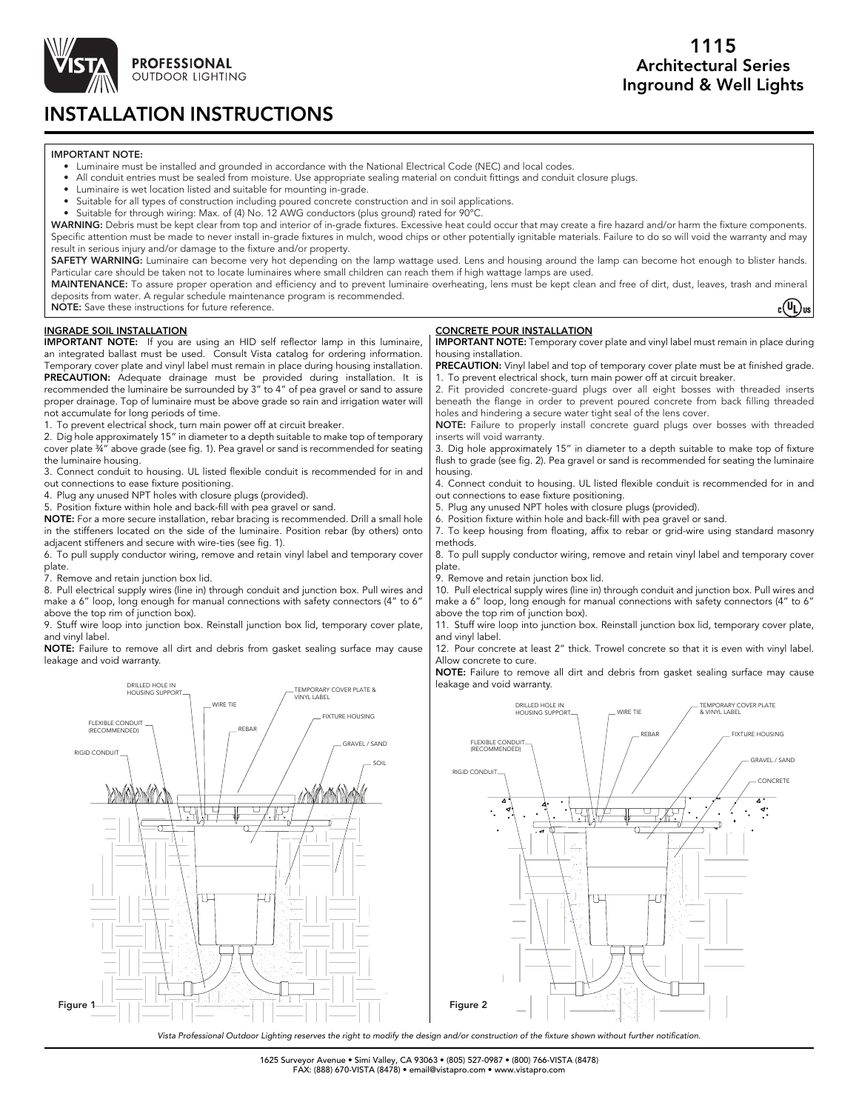

# INSTALLATION INSTRUCTIONS

### IMPORTANT NOTE:

- Luminaire must be installed and grounded in accordance with the National Electrical Code (NEC) and local codes.
- All conduit entries must be sealed from moisture. Use appropriate sealing material on conduit fittings and conduit closure plugs.
- Luminaire is wet location listed and suitable for mounting in-grade.
- Suitable for all types of construction including poured concrete construction and in soil applications.
- Suitable for through wiring: Max. of (4) No. 12 AWG conductors (plus ground) rated for 90°C.

WARNING: Debris must be kept clear from top and interior of in-grade fixtures. Excessive heat could occur that may create a fire hazard and/or harm the fixture components. Specific attention must be made to never install in-grade fixtures in mulch, wood chips or other potentially ignitable materials. Failure to do so will void the warranty and may result in serious injury and/or damage to the fixture and/or property.

SAFETY WARNING: Luminaire can become very hot depending on the lamp wattage used. Lens and housing around the lamp can become hot enough to blister hands. Particular care should be taken not to locate luminaires where small children can reach them if high wattage lamps are used.

MAINTENANCE: To assure proper operation and efficiency and to prevent luminaire overheating, lens must be kept clean and free of dirt, dust, leaves, trash and mineral deposits from water. A regular schedule maintenance program is recommended.

NOTE: Save these instructions for future reference.

 $_c(U_L)_{us}$ 

### INGRADE SOIL INSTALLATION

IMPORTANT NOTE: If you are using an HID self reflector lamp in this luminaire, an integrated ballast must be used. Consult Vista catalog for ordering information. Temporary cover plate and vinyl label must remain in place during housing installation. PRECAUTION: Adequate drainage must be provided during installation. It is recommended the luminaire be surrounded by 3" to 4" of pea gravel or sand to assure proper drainage. Top of luminaire must be above grade so rain and irrigation water will not accumulate for long periods of time.

1. To prevent electrical shock, turn main power off at circuit breaker.

2. Dig hole approximately 15" in diameter to a depth suitable to make top of temporary cover plate ¾" above grade (see fig. 1). Pea gravel or sand is recommended for seating the luminaire housing.

3. Connect conduit to housing. UL listed flexible conduit is recommended for in and out connections to ease fixture positioning.

4. Plug any unused NPT holes with closure plugs (provided).

5. Position fixture within hole and back-fill with pea gravel or sand.

NOTE: For a more secure installation, rebar bracing is recommended. Drill a small hole in the stiffeners located on the side of the luminaire. Position rebar (by others) onto adjacent stiffeners and secure with wire-ties (see fig. 1).

6. To pull supply conductor wiring, remove and retain vinyl label and temporary cover plate.

7. Remove and retain junction box lid.

8. Pull electrical supply wires (line in) through conduit and junction box. Pull wires and make a 6" loop, long enough for manual connections with safety connectors (4" to 6" above the top rim of junction box).

9. Stuff wire loop into junction box. Reinstall junction box lid, temporary cover plate, and vinyl label.

NOTE: Failure to remove all dirt and debris from gasket sealing surface may cause leakage and void warranty.



### CONCRETE POUR INSTALLATION

IMPORTANT NOTE: Temporary cover plate and vinyl label must remain in place during housing installation.

PRECAUTION: Vinyl label and top of temporary cover plate must be at finished grade. 1. To prevent electrical shock, turn main power off at circuit breaker.

2. Fit provided concrete-guard plugs over all eight bosses with threaded inserts beneath the flange in order to prevent poured concrete from back filling threaded holes and hindering a secure water tight seal of the lens cover.

NOTE: Failure to properly install concrete guard plugs over bosses with threaded inserts will void warranty.

3. Dig hole approximately 15" in diameter to a depth suitable to make top of fixture flush to grade (see fig. 2). Pea gravel or sand is recommended for seating the luminaire housing.

4. Connect conduit to housing. UL listed flexible conduit is recommended for in and out connections to ease fixture positioning.

5. Plug any unused NPT holes with closure plugs (provided).

6. Position fixture within hole and back-fill with pea gravel or sand.

7. To keep housing from floating, affix to rebar or grid-wire using standard masonry methods.

8. To pull supply conductor wiring, remove and retain vinyl label and temporary cover plate.

9. Remove and retain junction box lid.

10. Pull electrical supply wires (line in) through conduit and junction box. Pull wires and make a 6" loop, long enough for manual connections with safety connectors (4" to 6" above the top rim of junction box).

11. Stuff wire loop into junction box. Reinstall junction box lid, temporary cover plate, and vinyl label.

12. Pour concrete at least 2" thick. Trowel concrete so that it is even with vinyl label. Allow concrete to cure.

NOTE: Failure to remove all dirt and debris from gasket sealing surface may cause leakage and void warranty.



*Vista Professional Outdoor Lighting reserves the right to modify the design and/or construction of the fixture shown without further notification.*

1625 Surveyor Avenue • Simi Valley, CA 93063 • (805) 527-0987 • (800) 766-VISTA (8478) FAX: (888) 670-VISTA (8478) • email@vistapro.com • www.vistapro.com